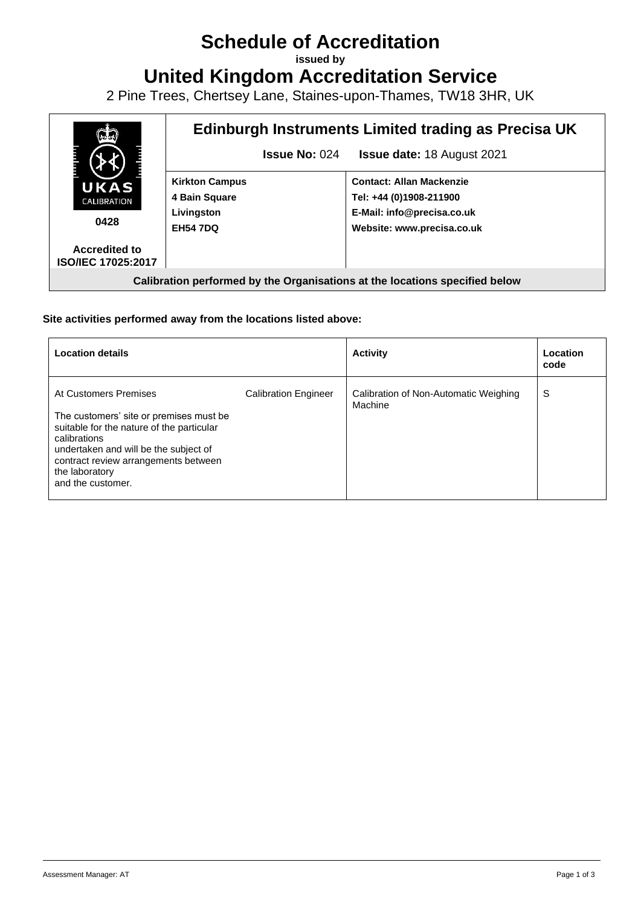# **Schedule of Accreditation**

**issued by**

**United Kingdom Accreditation Service**

2 Pine Trees, Chertsey Lane, Staines-upon-Thames, TW18 3HR, UK



## **Site activities performed away from the locations listed above:**

| <b>Location details</b>                                                                                                                                                                                                                               |                             | <b>Activity</b>                                  | Location<br>code |
|-------------------------------------------------------------------------------------------------------------------------------------------------------------------------------------------------------------------------------------------------------|-----------------------------|--------------------------------------------------|------------------|
| At Customers Premises<br>The customers' site or premises must be<br>suitable for the nature of the particular<br>calibrations<br>undertaken and will be the subject of<br>contract review arrangements between<br>the laboratory<br>and the customer. | <b>Calibration Engineer</b> | Calibration of Non-Automatic Weighing<br>Machine | S                |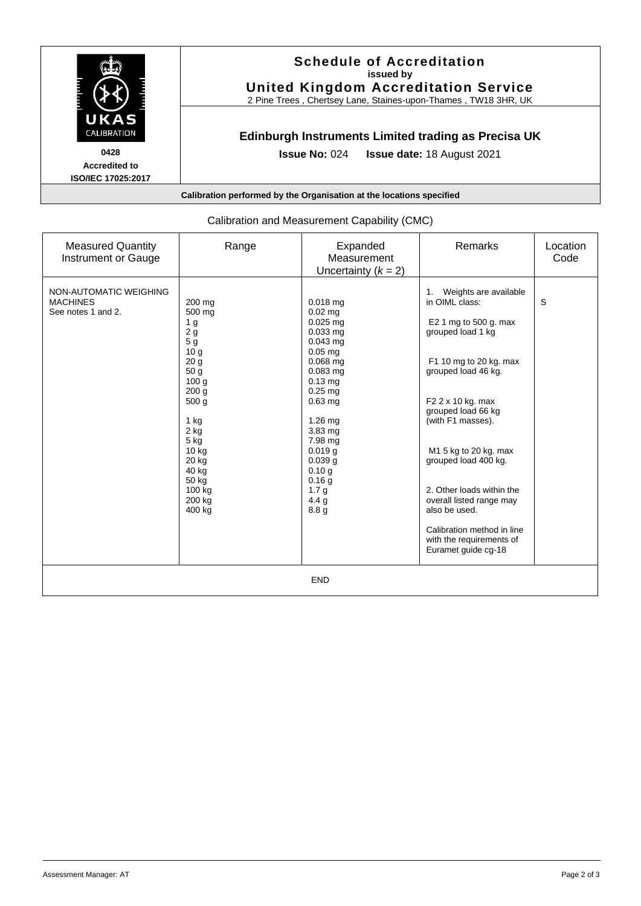

| <b>Measured Quantity</b><br>Instrument or Gauge                 | Range                                                                                                                                                                                                                                                   | Expanded<br>Measurement<br>Uncertainty $(k = 2)$                                                                                                                                                                                                                                   | Remarks                                                                                                                                                                                                                                                                                                                                                                                                                              | Location<br>Code |  |  |
|-----------------------------------------------------------------|---------------------------------------------------------------------------------------------------------------------------------------------------------------------------------------------------------------------------------------------------------|------------------------------------------------------------------------------------------------------------------------------------------------------------------------------------------------------------------------------------------------------------------------------------|--------------------------------------------------------------------------------------------------------------------------------------------------------------------------------------------------------------------------------------------------------------------------------------------------------------------------------------------------------------------------------------------------------------------------------------|------------------|--|--|
| NON-AUTOMATIC WEIGHING<br><b>MACHINES</b><br>See notes 1 and 2. | 200 mg<br>500 mg<br>1 <sub>g</sub><br>2g<br>5 g<br>10 <sub>g</sub><br>20 <sub>g</sub><br>50 g<br>100 <sub>g</sub><br>200 <sub>g</sub><br>500 <sub>g</sub><br>1 kg<br>$2$ kg<br>5 kg<br>$10$ kg<br>20 kg<br>40 kg<br>50 kg<br>100 kg<br>200 kg<br>400 kg | $0.018$ mg<br>$0.02$ mg<br>$0.025$ mg<br>$0.033$ mg<br>$0.043$ mg<br>$0.05$ mg<br>$0.068$ mg<br>$0.083$ mg<br>$0.13$ mg<br>$0.25$ mg<br>$0.63$ mg<br>$1.26$ mg<br>3.83 mg<br>7.98 mg<br>$0.019$ g<br>0.039 <sub>g</sub><br>0.10 g<br>0.16g<br>1.7 <sub>g</sub><br>4.4 $q$<br>8.8 g | Weights are available<br>$\mathbf{1}$ .<br>in OIML class:<br>E2 1 mg to 500 g. max<br>grouped load 1 kg<br>F1 10 mg to 20 kg. max<br>grouped load 46 kg.<br>F2 2 x 10 kg. max<br>grouped load 66 kg<br>(with F1 masses).<br>M1 5 kg to 20 kg. max<br>grouped load 400 kg.<br>2. Other loads within the<br>overall listed range may<br>also be used.<br>Calibration method in line<br>with the requirements of<br>Euramet guide cg-18 | S                |  |  |
| <b>END</b>                                                      |                                                                                                                                                                                                                                                         |                                                                                                                                                                                                                                                                                    |                                                                                                                                                                                                                                                                                                                                                                                                                                      |                  |  |  |

# Calibration and Measurement Capability (CMC)